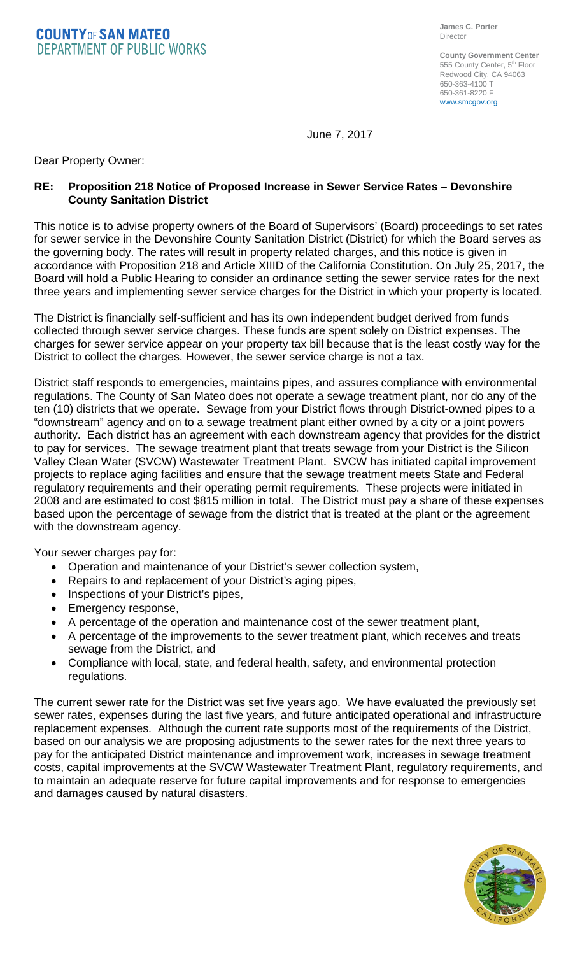**COUNTYOF SAN MATEO DEPARTMENT OF PUBLIC WORKS** 

**County Government Center** 555 County Center, 5<sup>th</sup> Floor Redwood City, CA 94063 650-363-4100 T 650-361-8220 F www.smcgov.org

June 7, 2017

Dear Property Owner:

## **RE: Proposition 218 Notice of Proposed Increase in Sewer Service Rates – Devonshire County Sanitation District**

This notice is to advise property owners of the Board of Supervisors' (Board) proceedings to set rates for sewer service in the Devonshire County Sanitation District (District) for which the Board serves as the governing body. The rates will result in property related charges, and this notice is given in accordance with Proposition 218 and Article XIIID of the California Constitution. On July 25, 2017, the Board will hold a Public Hearing to consider an ordinance setting the sewer service rates for the next three years and implementing sewer service charges for the District in which your property is located.

The District is financially self-sufficient and has its own independent budget derived from funds collected through sewer service charges. These funds are spent solely on District expenses. The charges for sewer service appear on your property tax bill because that is the least costly way for the District to collect the charges. However, the sewer service charge is not a tax.

District staff responds to emergencies, maintains pipes, and assures compliance with environmental regulations. The County of San Mateo does not operate a sewage treatment plant, nor do any of the ten (10) districts that we operate. Sewage from your District flows through District-owned pipes to a "downstream" agency and on to a sewage treatment plant either owned by a city or a joint powers authority. Each district has an agreement with each downstream agency that provides for the district to pay for services. The sewage treatment plant that treats sewage from your District is the Silicon Valley Clean Water (SVCW) Wastewater Treatment Plant. SVCW has initiated capital improvement projects to replace aging facilities and ensure that the sewage treatment meets State and Federal regulatory requirements and their operating permit requirements. These projects were initiated in 2008 and are estimated to cost \$815 million in total. The District must pay a share of these expenses based upon the percentage of sewage from the district that is treated at the plant or the agreement with the downstream agency.

Your sewer charges pay for:

- Operation and maintenance of your District's sewer collection system,
- Repairs to and replacement of your District's aging pipes,
- Inspections of your District's pipes,
- Emergency response,
- A percentage of the operation and maintenance cost of the sewer treatment plant,
- A percentage of the improvements to the sewer treatment plant, which receives and treats sewage from the District, and
- Compliance with local, state, and federal health, safety, and environmental protection regulations.

The current sewer rate for the District was set five years ago. We have evaluated the previously set sewer rates, expenses during the last five years, and future anticipated operational and infrastructure replacement expenses. Although the current rate supports most of the requirements of the District, based on our analysis we are proposing adjustments to the sewer rates for the next three years to pay for the anticipated District maintenance and improvement work, increases in sewage treatment costs, capital improvements at the SVCW Wastewater Treatment Plant, regulatory requirements, and to maintain an adequate reserve for future capital improvements and for response to emergencies and damages caused by natural disasters.